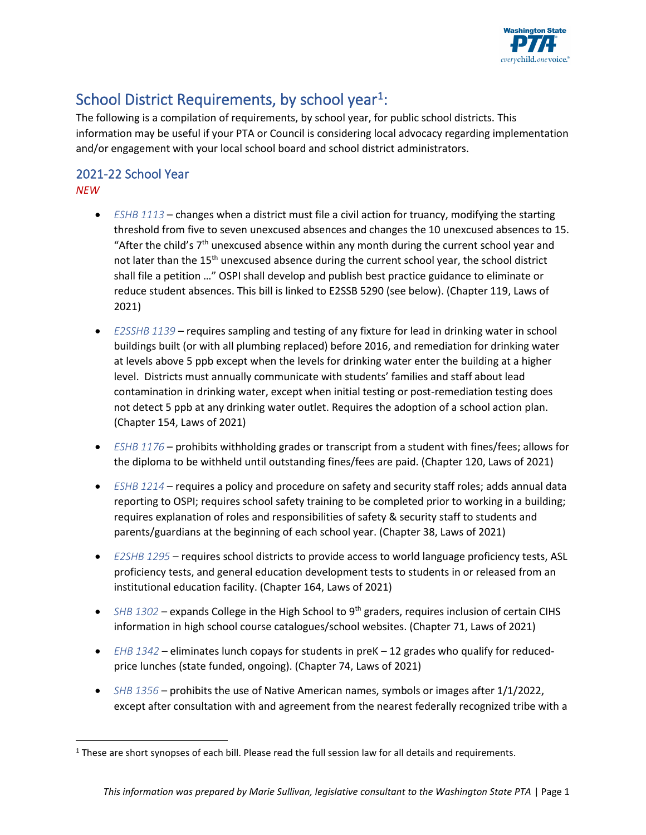

# School District Requirements, by school year<sup>1</sup>:

The following is a compilation of requirements, by school year, for public school districts. This information may be useful if your PTA or Council is considering local advocacy regarding implementation and/or engagement with your local school board and school district administrators.

### 2021-22 School Year *NEW*

- *[ESHB 1113](https://app.leg.wa.gov/billsummary?BillNumber=1113&Initiative=false&Year=2021)* changes when a district must file a civil action for truancy, modifying the starting threshold from five to seven unexcused absences and changes the 10 unexcused absences to 15. "After the child's  $7<sup>th</sup>$  unexcused absence within any month during the current school year and not later than the 15<sup>th</sup> unexcused absence during the current school year, the school district shall file a petition …" OSPI shall develop and publish best practice guidance to eliminate or reduce student absences. This bill is linked to E2SSB 5290 (see below). (Chapter 119, Laws of 2021)
- *[E2SSHB 1139](https://app.leg.wa.gov/billsummary?BillNumber=1139&Year=2021&Initiative=false)*  requires sampling and testing of any fixture for lead in drinking water in school buildings built (or with all plumbing replaced) before 2016, and remediation for drinking water at levels above 5 ppb except when the levels for drinking water enter the building at a higher level. Districts must annually communicate with students' families and staff about lead contamination in drinking water, except when initial testing or post-remediation testing does not detect 5 ppb at any drinking water outlet. Requires the adoption of a school action plan. (Chapter 154, Laws of 2021)
- *[ESHB 1176](https://app.leg.wa.gov/billsummary?BillNumber=1176&Initiative=false&Year=2021)*  prohibits withholding grades or transcript from a student with fines/fees; allows for the diploma to be withheld until outstanding fines/fees are paid. (Chapter 120, Laws of 2021)
- *[ESHB 1214](https://app.leg.wa.gov/billsummary?BillNumber=1214&Initiative=false&Year=2021)*  requires a policy and procedure on safety and security staff roles; adds annual data reporting to OSPI; requires school safety training to be completed prior to working in a building; requires explanation of roles and responsibilities of safety & security staff to students and parents/guardians at the beginning of each school year. (Chapter 38, Laws of 2021)
- *[E2SHB 1295](https://app.leg.wa.gov/billsummary?BillNumber=1295&Initiative=false&Year=2021)*  requires school districts to provide access to world language proficiency tests, ASL proficiency tests, and general education development tests to students in or released from an institutional education facility. (Chapter 164, Laws of 2021)
- *SHB 1302* expands College in the High School to 9<sup>th</sup> graders, requires inclusion of certain CIHS information in high school course catalogues/school websites. (Chapter 71, Laws of 2021)
- *[EHB 1342](https://app.leg.wa.gov/billsummary?BillNumber=1342&Initiative=false&Year=2021)*  eliminates lunch copays for students in preK 12 grades who qualify for reducedprice lunches (state funded, ongoing). (Chapter 74, Laws of 2021)
- *[SHB 1356](https://app.leg.wa.gov/billsummary?BillNumber=1356&Initiative=false&Year=2021)*  prohibits the use of Native American names, symbols or images after 1/1/2022, except after consultation with and agreement from the nearest federally recognized tribe with a

<sup>&</sup>lt;sup>1</sup> These are short synopses of each bill. Please read the full session law for all details and requirements.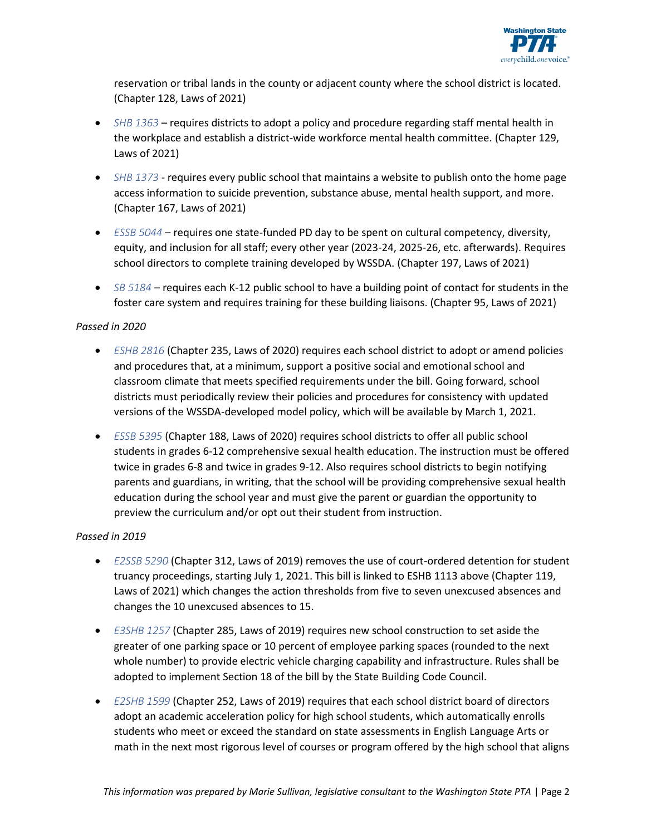

reservation or tribal lands in the county or adjacent county where the school district is located. (Chapter 128, Laws of 2021)

- *[SHB 1363](https://app.leg.wa.gov/billsummary?BillNumber=1363&Initiative=false&Year=2021)*  requires districts to adopt a policy and procedure regarding staff mental health in the workplace and establish a district-wide workforce mental health committee. (Chapter 129, Laws of 2021)
- *[SHB 1373](https://app.leg.wa.gov/billsummary?BillNumber=1373&Initiative=false&Year=2021)*  requires every public school that maintains a website to publish onto the home page access information to suicide prevention, substance abuse, mental health support, and more. (Chapter 167, Laws of 2021)
- *[ESSB 5044](https://app.leg.wa.gov/billsummary?BillNumber=5044&Initiative=false&Year=2021)*  requires one state-funded PD day to be spent on cultural competency, diversity, equity, and inclusion for all staff; every other year (2023-24, 2025-26, etc. afterwards). Requires school directors to complete training developed by WSSDA. (Chapter 197, Laws of 2021)
- *[SB 5184](https://app.leg.wa.gov/billsummary?BillNumber=5184&Initiative=false&Year=2021)*  requires each K-12 public school to have a building point of contact for students in the foster care system and requires training for these building liaisons. (Chapter 95, Laws of 2021)

### *Passed in 2020*

- *[ESHB 2816](https://app.leg.wa.gov/billsummary?BillNumber=2816&Initiative=false&Year=2019)* (Chapter 235, Laws of 2020) requires each school district to adopt or amend policies and procedures that, at a minimum, support a positive social and emotional school and classroom climate that meets specified requirements under the bill. Going forward, school districts must periodically review their policies and procedures for consistency with updated versions of the WSSDA-developed model policy, which will be available by March 1, 2021.
- *[ESSB 5395](https://app.leg.wa.gov/billsummary?BillNumber=5395&Initiative=false&Year=2019)* (Chapter 188, Laws of 2020) requires school districts to offer all public school students in grades 6-12 comprehensive sexual health education. The instruction must be offered twice in grades 6-8 and twice in grades 9-12. Also requires school districts to begin notifying parents and guardians, in writing, that the school will be providing comprehensive sexual health education during the school year and must give the parent or guardian the opportunity to preview the curriculum and/or opt out their student from instruction.

### *Passed in 2019*

- *[E2SSB 5290](http://lawfilesext.leg.wa.gov/biennium/2019-20/Pdf/Bills/Session%20Laws/Senate/5290-S2.SL.pdf)* (Chapter 312, Laws of 2019) removes the use of court-ordered detention for student truancy proceedings, starting July 1, 2021. This bill is linked to ESHB 1113 above (Chapter 119, Laws of 2021) which changes the action thresholds from five to seven unexcused absences and changes the 10 unexcused absences to 15.
- *[E3SHB 1257](http://lawfilesext.leg.wa.gov/biennium/2019-20/Pdf/Bills/Session%20Laws/House/1257-S3.SL.pdf)* (Chapter 285, Laws of 2019) requires new school construction to set aside the greater of one parking space or 10 percent of employee parking spaces (rounded to the next whole number) to provide electric vehicle charging capability and infrastructure. Rules shall be adopted to implement Section 18 of the bill by the State Building Code Council.
- *[E2SHB 1599](http://lawfilesext.leg.wa.gov/biennium/2019-20/Pdf/Bills/Session%20Laws/House/1599-S2.SL.pdf)* (Chapter 252, Laws of 2019) requires that each school district board of directors adopt an academic acceleration policy for high school students, which automatically enrolls students who meet or exceed the standard on state assessments in English Language Arts or math in the next most rigorous level of courses or program offered by the high school that aligns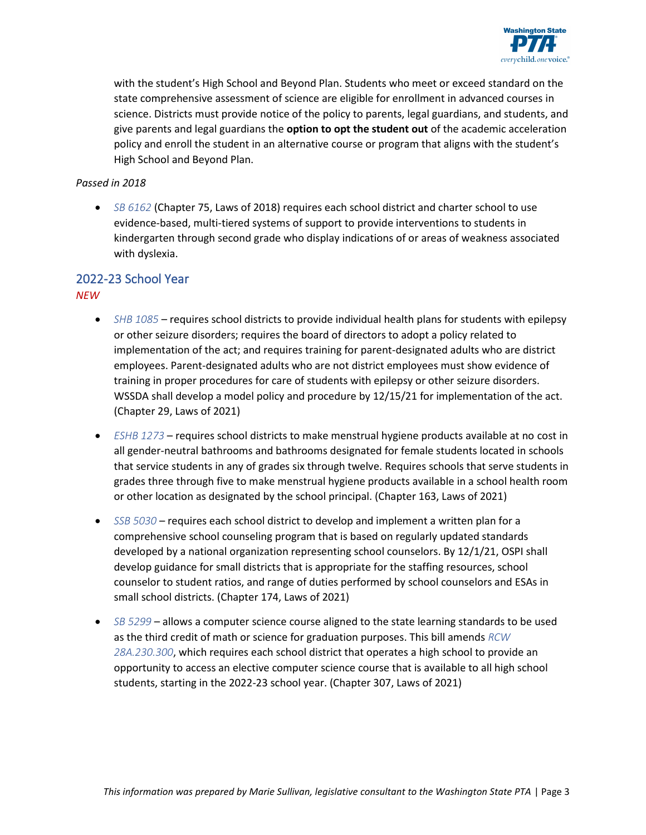

with the student's High School and Beyond Plan. Students who meet or exceed standard on the state comprehensive assessment of science are eligible for enrollment in advanced courses in science. Districts must provide notice of the policy to parents, legal guardians, and students, and give parents and legal guardians the **option to opt the student out** of the academic acceleration policy and enroll the student in an alternative course or program that aligns with the student's High School and Beyond Plan.

### *Passed in 2018*

• *[SB 6162](http://lawfilesext.leg.wa.gov/biennium/2017-18/Pdf/Bills/Session%20Laws/Senate/6162-S2.SL.pdf)* (Chapter 75, Laws of 2018) requires each school district and charter school to use evidence-based, multi-tiered systems of support to provide interventions to students in kindergarten through second grade who display indications of or areas of weakness associated with dyslexia.

## 2022-23 School Year

*NEW*

- *[SHB 1085](https://app.leg.wa.gov/billsummary?BillNumber=1085&Initiative=false&Year=2021)* requires school districts to provide individual health plans for students with epilepsy or other seizure disorders; requires the board of directors to adopt a policy related to implementation of the act; and requires training for parent-designated adults who are district employees. Parent-designated adults who are not district employees must show evidence of training in proper procedures for care of students with epilepsy or other seizure disorders. WSSDA shall develop a model policy and procedure by 12/15/21 for implementation of the act. (Chapter 29, Laws of 2021)
- *[ESHB 1273](https://app.leg.wa.gov/billsummary?BillNumber=1273&Initiative=false&Year=2021)* requires school districts to make menstrual hygiene products available at no cost in all gender-neutral bathrooms and bathrooms designated for female students located in schools that service students in any of grades six through twelve. Requires schools that serve students in grades three through five to make menstrual hygiene products available in a school health room or other location as designated by the school principal. (Chapter 163, Laws of 2021)
- *[SSB 5030](https://app.leg.wa.gov/billsummary?BillNumber=5030&Initiative=false&Year=2021)* requires each school district to develop and implement a written plan for a comprehensive school counseling program that is based on regularly updated standards developed by a national organization representing school counselors. By 12/1/21, OSPI shall develop guidance for small districts that is appropriate for the staffing resources, school counselor to student ratios, and range of duties performed by school counselors and ESAs in small school districts. (Chapter 174, Laws of 2021)
- *[SB 5299](https://app.leg.wa.gov/billsummary?BillNumber=5299&Initiative=false&Year=2021)* allows a computer science course aligned to the state learning standards to be used as the third credit of math or science for graduation purposes. This bill amends *[RCW](https://app.leg.wa.gov/RCW/default.aspx?cite=28A.230.300) [28A.230.300](https://app.leg.wa.gov/RCW/default.aspx?cite=28A.230.300)*, which requires each school district that operates a high school to provide an opportunity to access an elective computer science course that is available to all high school students, starting in the 2022-23 school year. (Chapter 307, Laws of 2021)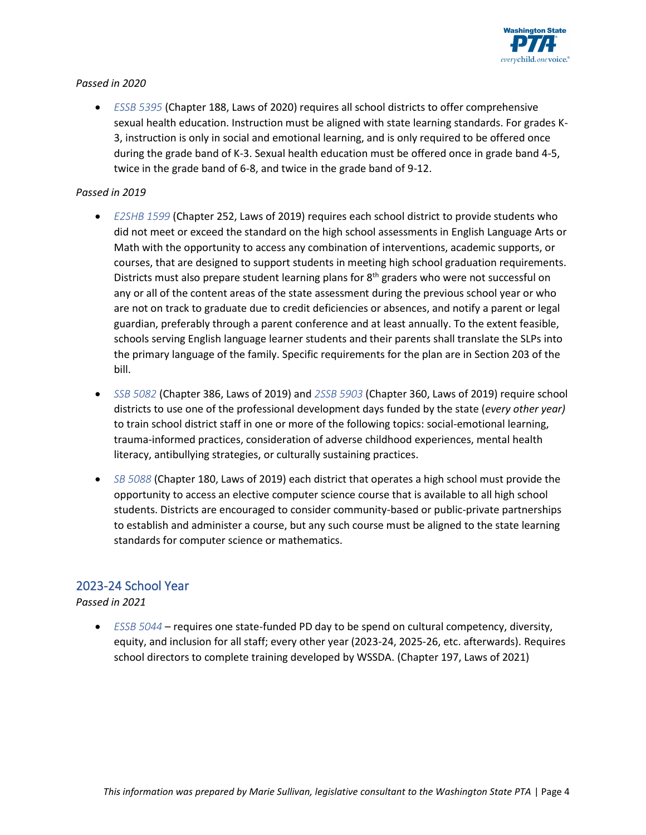

### *Passed in 2020*

• *[ESSB 5395](https://app.leg.wa.gov/billsummary?BillNumber=5395&Initiative=false&Year=2019)* (Chapter 188, Laws of 2020) requires all school districts to offer comprehensive sexual health education. Instruction must be aligned with state learning standards. For grades K-3, instruction is only in social and emotional learning, and is only required to be offered once during the grade band of K-3. Sexual health education must be offered once in grade band 4-5, twice in the grade band of 6-8, and twice in the grade band of 9-12.

### *Passed in 2019*

- *[E2SHB 1599](http://lawfilesext.leg.wa.gov/biennium/2019-20/Pdf/Bills/Session%20Laws/House/1599-S2.SL.pdf)* (Chapter 252, Laws of 2019) requires each school district to provide students who did not meet or exceed the standard on the high school assessments in English Language Arts or Math with the opportunity to access any combination of interventions, academic supports, or courses, that are designed to support students in meeting high school graduation requirements. Districts must also prepare student learning plans for  $8<sup>th</sup>$  graders who were not successful on any or all of the content areas of the state assessment during the previous school year or who are not on track to graduate due to credit deficiencies or absences, and notify a parent or legal guardian, preferably through a parent conference and at least annually. To the extent feasible, schools serving English language learner students and their parents shall translate the SLPs into the primary language of the family. Specific requirements for the plan are in Section 203 of the bill.
- *[SSB 5082](http://lawfilesext.leg.wa.gov/biennium/2019-20/Pdf/Bills/Session%20Laws/Senate/5082-S2.SL.pdf)* (Chapter 386, Laws of 2019) and *[2SSB 5903](http://lawfilesext.leg.wa.gov/biennium/2019-20/Pdf/Bills/Session%20Laws/Senate/5903-S2.SL.pdf)* (Chapter 360, Laws of 2019) require school districts to use one of the professional development days funded by the state (*every other year)* to train school district staff in one or more of the following topics: social-emotional learning, trauma-informed practices, consideration of adverse childhood experiences, mental health literacy, antibullying strategies, or culturally sustaining practices.
- *[SB 5088](https://app.leg.wa.gov/billsummary?billnumber=5088&initiative=False&year=2019)* (Chapter 180, Laws of 2019) each district that operates a high school must provide the opportunity to access an elective computer science course that is available to all high school students. Districts are encouraged to consider community-based or public-private partnerships to establish and administer a course, but any such course must be aligned to the state learning standards for computer science or mathematics.

### 2023-24 School Year

### *Passed in 2021*

• *[ESSB 5044](https://app.leg.wa.gov/billsummary?BillNumber=5044&Initiative=false&Year=2021)* – requires one state-funded PD day to be spend on cultural competency, diversity, equity, and inclusion for all staff; every other year (2023-24, 2025-26, etc. afterwards). Requires school directors to complete training developed by WSSDA. (Chapter 197, Laws of 2021)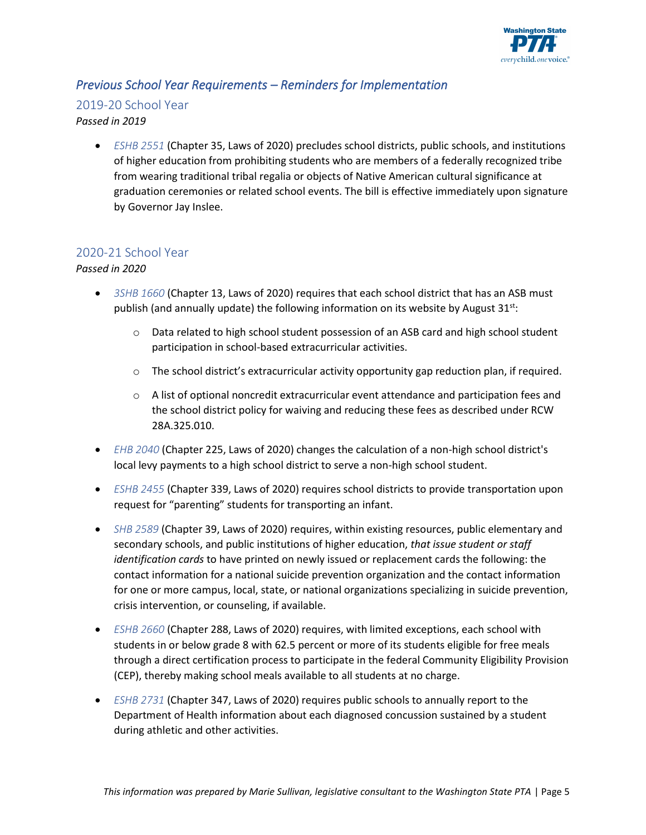

### *Previous School Year Requirements – Reminders for Implementation*

### 2019-20 School Year

### *Passed in 2019*

• *[ESHB 2551](https://app.leg.wa.gov/billsummary?BillNumber=2551&Initiative=false&Year=2019)* (Chapter 35, Laws of 2020) precludes school districts, public schools, and institutions of higher education from prohibiting students who are members of a federally recognized tribe from wearing traditional tribal regalia or objects of Native American cultural significance at graduation ceremonies or related school events. The bill is effective immediately upon signature by Governor Jay Inslee.

### 2020-21 School Year

### *Passed in 2020*

- *[3SHB 1660](https://app.leg.wa.gov/billsummary?BillNumber=1660&Initiative=false&Year=2019)* (Chapter 13, Laws of 2020) requires that each school district that has an ASB must publish (and annually update) the following information on its website by August  $31<sup>st</sup>$ :
	- $\circ$  Data related to high school student possession of an ASB card and high school student participation in school-based extracurricular activities.
	- o The school district's extracurricular activity opportunity gap reduction plan, if required.
	- $\circ$  A list of optional noncredit extracurricular event attendance and participation fees and the school district policy for waiving and reducing these fees as described under RCW 28A.325.010.
- *[EHB 2040](https://app.leg.wa.gov/billsummary?BillNumber=2040&Initiative=false&Year=2019)* (Chapter 225, Laws of 2020) changes the calculation of a non-high school district's local levy payments to a high school district to serve a non-high school student.
- *[ESHB 2455](https://app.leg.wa.gov/billsummary?BillNumber=2455&Initiative=false&Year=2019)* (Chapter 339, Laws of 2020) requires school districts to provide transportation upon request for "parenting" students for transporting an infant.
- *[SHB 2589](https://app.leg.wa.gov/billsummary?BillNumber=2589&Initiative=false&Year=2019)* (Chapter 39, Laws of 2020) requires, within existing resources, public elementary and secondary schools, and public institutions of higher education, *that issue student or staff identification cards* to have printed on newly issued or replacement cards the following: the contact information for a national suicide prevention organization and the contact information for one or more campus, local, state, or national organizations specializing in suicide prevention, crisis intervention, or counseling, if available.
- *[ESHB 2660](https://app.leg.wa.gov/billsummary?BillNumber=2660&Initiative=false&Year=2019)* (Chapter 288, Laws of 2020) requires, with limited exceptions, each school with students in or below grade 8 with 62.5 percent or more of its students eligible for free meals through a direct certification process to participate in the federal Community Eligibility Provision (CEP), thereby making school meals available to all students at no charge.
- *[ESHB 2731](https://app.leg.wa.gov/billsummary?BillNumber=2731&Initiative=false&Year=2019)* (Chapter 347, Laws of 2020) requires public schools to annually report to the Department of Health information about each diagnosed concussion sustained by a student during athletic and other activities.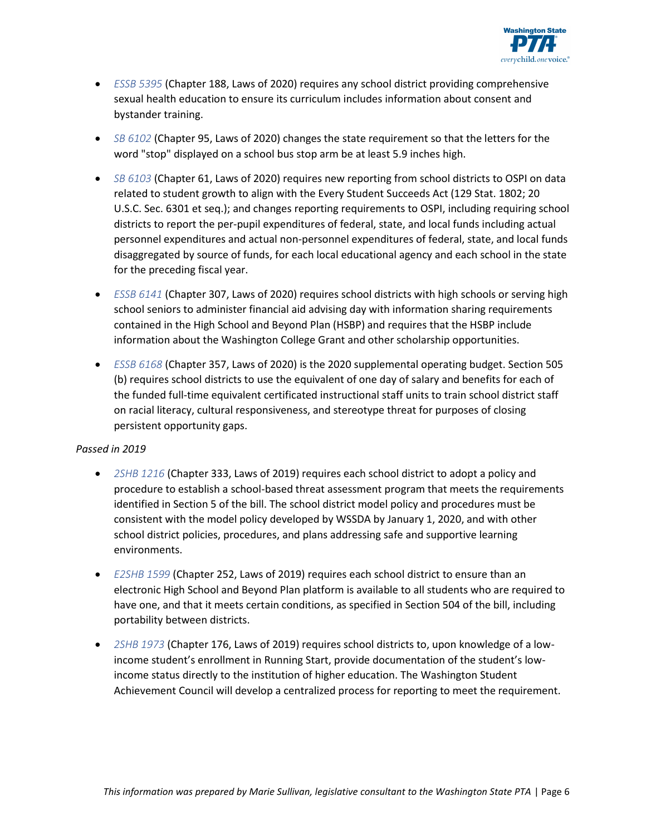

- *[ESSB 5395](https://app.leg.wa.gov/billsummary?BillNumber=5395&Initiative=false&Year=2019)* (Chapter 188, Laws of 2020) requires any school district providing comprehensive sexual health education to ensure its curriculum includes information about consent and bystander training.
- *[SB 6102](https://app.leg.wa.gov/billsummary?BillNumber=6102&Initiative=false&Year=2019)* (Chapter 95, Laws of 2020) changes the state requirement so that the letters for the word "stop" displayed on a school bus stop arm be at least 5.9 inches high.
- *[SB 6103](https://app.leg.wa.gov/billsummary?BillNumber=6103&Initiative=false&Year=2019)* (Chapter 61, Laws of 2020) requires new reporting from school districts to OSPI on data related to student growth to align with the Every Student Succeeds Act (129 Stat. 1802; 20 U.S.C. Sec. 6301 et seq.); and changes reporting requirements to OSPI, including requiring school districts to report the per-pupil expenditures of federal, state, and local funds including actual personnel expenditures and actual non-personnel expenditures of federal, state, and local funds disaggregated by source of funds, for each local educational agency and each school in the state for the preceding fiscal year.
- *[ESSB 6141](https://app.leg.wa.gov/billsummary?BillNumber=6141&Initiative=false&Year=2019)* (Chapter 307, Laws of 2020) requires school districts with high schools or serving high school seniors to administer financial aid advising day with information sharing requirements contained in the High School and Beyond Plan (HSBP) and requires that the HSBP include information about the Washington College Grant and other scholarship opportunities.
- *[ESSB 6168](https://app.leg.wa.gov/billsummary?BillNumber=6168&Initiative=false&Year=2019)* (Chapter 357, Laws of 2020) is the 2020 supplemental operating budget. Section 505 (b) requires school districts to use the equivalent of one day of salary and benefits for each of the funded full-time equivalent certificated instructional staff units to train school district staff on racial literacy, cultural responsiveness, and stereotype threat for purposes of closing persistent opportunity gaps.

### *Passed in 2019*

- *[2SHB 1216](http://lawfilesext.leg.wa.gov/biennium/2019-20/Pdf/Bills/Session%20Laws/House/1216-S2.SL.pdf)* (Chapter 333, Laws of 2019) requires each school district to adopt a policy and procedure to establish a school-based threat assessment program that meets the requirements identified in Section 5 of the bill. The school district model policy and procedures must be consistent with the model policy developed by WSSDA by January 1, 2020, and with other school district policies, procedures, and plans addressing safe and supportive learning environments.
- *[E2SHB 1599](http://lawfilesext.leg.wa.gov/biennium/2019-20/Pdf/Bills/Session%20Laws/House/1599-S2.SL.pdf)* (Chapter 252, Laws of 2019) requires each school district to ensure than an electronic High School and Beyond Plan platform is available to all students who are required to have one, and that it meets certain conditions, as specified in Section 504 of the bill, including portability between districts.
- *[2SHB 1973](http://lawfilesext.leg.wa.gov/biennium/2019-20/Pdf/Bills/Session%20Laws/House/1973-S2.SL.pdf)* (Chapter 176, Laws of 2019) requires school districts to, upon knowledge of a lowincome student's enrollment in Running Start, provide documentation of the student's lowincome status directly to the institution of higher education. The Washington Student Achievement Council will develop a centralized process for reporting to meet the requirement.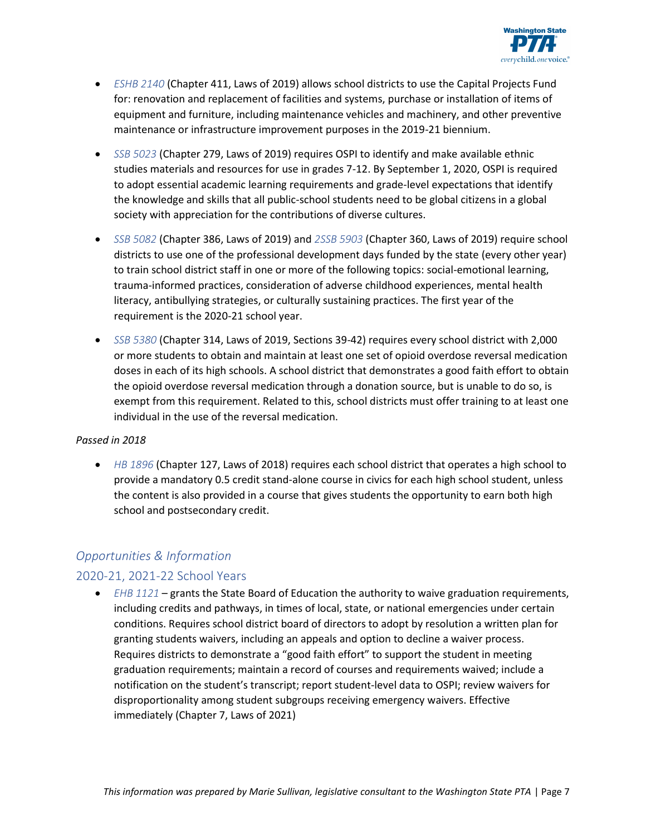

- *[ESHB 2140](http://lawfilesext.leg.wa.gov/biennium/2019-20/Pdf/Bills/Session%20Laws/House/2140-S.SL.pdf)* (Chapter 411, Laws of 2019) allows school districts to use the Capital Projects Fund for: renovation and replacement of facilities and systems, purchase or installation of items of equipment and furniture, including maintenance vehicles and machinery, and other preventive maintenance or infrastructure improvement purposes in the 2019-21 biennium.
- *[SSB 5023](https://app.leg.wa.gov/billsummary?BillNumber=5023&Initiative=false&Year=2019)* (Chapter 279, Laws of 2019) requires OSPI to identify and make available ethnic studies materials and resources for use in grades 7-12. By September 1, 2020, OSPI is required to adopt essential academic learning requirements and grade-level expectations that identify the knowledge and skills that all public-school students need to be global citizens in a global society with appreciation for the contributions of diverse cultures.
- *[SSB 5082](http://lawfilesext.leg.wa.gov/biennium/2019-20/Pdf/Bills/Session%20Laws/Senate/5082-S2.SL.pdf)* (Chapter 386, Laws of 2019) and *[2SSB 5903](http://lawfilesext.leg.wa.gov/biennium/2019-20/Pdf/Bills/Session%20Laws/Senate/5903-S2.SL.pdf)* (Chapter 360, Laws of 2019) require school districts to use one of the professional development days funded by the state (every other year) to train school district staff in one or more of the following topics: social-emotional learning, trauma-informed practices, consideration of adverse childhood experiences, mental health literacy, antibullying strategies, or culturally sustaining practices. The first year of the requirement is the 2020-21 school year.
- *[SSB 5380](http://lawfilesext.leg.wa.gov/biennium/2019-20/Pdf/Bills/Session%20Laws/Senate/5380-S.SL.pdf)* (Chapter 314, Laws of 2019, Sections 39-42) requires every school district with 2,000 or more students to obtain and maintain at least one set of opioid overdose reversal medication doses in each of its high schools. A school district that demonstrates a good faith effort to obtain the opioid overdose reversal medication through a donation source, but is unable to do so, is exempt from this requirement. Related to this, school districts must offer training to at least one individual in the use of the reversal medication.

### *Passed in 2018*

• *[HB 1896](http://lawfilesext.leg.wa.gov/biennium/2017-18/Pdf/Bills/Session%20Laws/House/1896-S2.SL.pdf)* (Chapter 127, Laws of 2018) requires each school district that operates a high school to provide a mandatory 0.5 credit stand-alone course in civics for each high school student, unless the content is also provided in a course that gives students the opportunity to earn both high school and postsecondary credit.

### *Opportunities & Information*

### 2020-21, 2021-22 School Years

• *[EHB 1121](https://app.leg.wa.gov/billsummary?BillNumber=1121&Initiative=false&Year=2021)* – grants the State Board of Education the authority to waive graduation requirements, including credits and pathways, in times of local, state, or national emergencies under certain conditions. Requires school district board of directors to adopt by resolution a written plan for granting students waivers, including an appeals and option to decline a waiver process. Requires districts to demonstrate a "good faith effort" to support the student in meeting graduation requirements; maintain a record of courses and requirements waived; include a notification on the student's transcript; report student-level data to OSPI; review waivers for disproportionality among student subgroups receiving emergency waivers. Effective immediately (Chapter 7, Laws of 2021)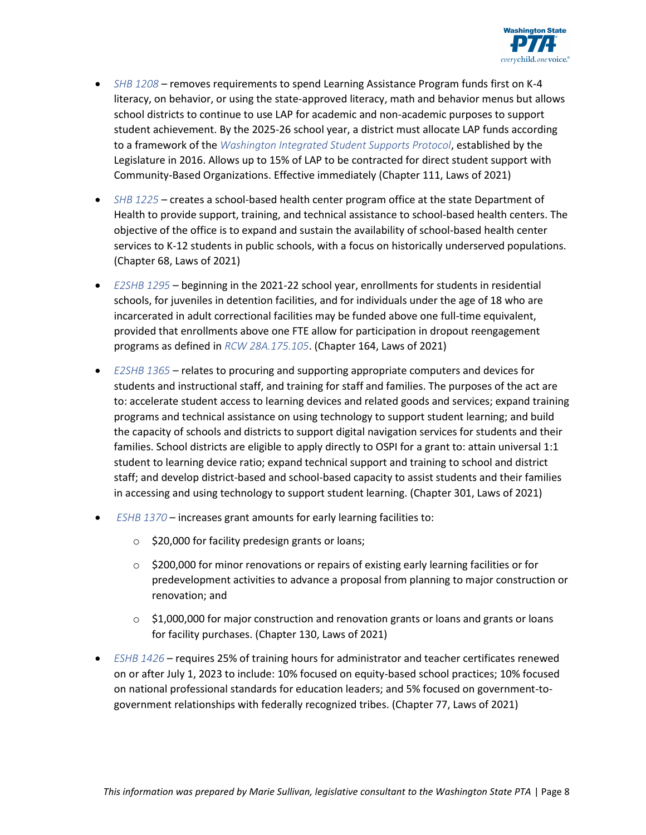

- *[SHB 1208](https://app.leg.wa.gov/billsummary?BillNumber=1208&Initiative=false&Year=2021)* removes requirements to spend Learning Assistance Program funds first on K-4 literacy, on behavior, or using the state-approved literacy, math and behavior menus but allows school districts to continue to use LAP for academic and non-academic purposes to support student achievement. By the 2025-26 school year, a district must allocate LAP funds according to a framework of the *[Washington Integrated Student Supports Protocol](https://www.k12.wa.us/student-success/support-programs/multi-tiered-system-supports-mtss/washington-integrated-student-supports-protocol-wissp)*, established by the Legislature in 2016. Allows up to 15% of LAP to be contracted for direct student support with Community-Based Organizations. Effective immediately (Chapter 111, Laws of 2021)
- *[SHB 1225](https://app.leg.wa.gov/billsummary?BillNumber=1225&Initiative=false&Year=2021)* creates a school-based health center program office at the state Department of Health to provide support, training, and technical assistance to school-based health centers. The objective of the office is to expand and sustain the availability of school-based health center services to K-12 students in public schools, with a focus on historically underserved populations. (Chapter 68, Laws of 2021)
- *[E2SHB 1295](https://app.leg.wa.gov/billsummary?BillNumber=1295&Initiative=false&Year=2021)* beginning in the 2021-22 school year, enrollments for students in residential schools, for juveniles in detention facilities, and for individuals under the age of 18 who are incarcerated in adult correctional facilities may be funded above one full-time equivalent, provided that enrollments above one FTE allow for participation in dropout reengagement programs as defined in *[RCW 28A.175.105](https://app.leg.wa.gov/RCW/default.aspx?cite=28A.175.105)*. (Chapter 164, Laws of 2021)
- *[E2SHB 1365](https://app.leg.wa.gov/billsummary?BillNumber=1365&Initiative=false&Year=2021)* relates to procuring and supporting appropriate computers and devices for students and instructional staff, and training for staff and families. The purposes of the act are to: accelerate student access to learning devices and related goods and services; expand training programs and technical assistance on using technology to support student learning; and build the capacity of schools and districts to support digital navigation services for students and their families. School districts are eligible to apply directly to OSPI for a grant to: attain universal 1:1 student to learning device ratio; expand technical support and training to school and district staff; and develop district-based and school-based capacity to assist students and their families in accessing and using technology to support student learning. (Chapter 301, Laws of 2021)
- *[ESHB 1370](https://app.leg.wa.gov/billsummary?BillNumber=1370&Initiative=false&Year=2021)* increases grant amounts for early learning facilities to:
	- o \$20,000 for facility predesign grants or loans;
	- $\circ$  \$200,000 for minor renovations or repairs of existing early learning facilities or for predevelopment activities to advance a proposal from planning to major construction or renovation; and
	- $\circ$  \$1,000,000 for major construction and renovation grants or loans and grants or loans for facility purchases. (Chapter 130, Laws of 2021)
- *[ESHB 1426](https://app.leg.wa.gov/billsummary?BillNumber=1426&Initiative=false&Year=2021)* requires 25% of training hours for administrator and teacher certificates renewed on or after July 1, 2023 to include: 10% focused on equity-based school practices; 10% focused on national professional standards for education leaders; and 5% focused on government-togovernment relationships with federally recognized tribes. (Chapter 77, Laws of 2021)